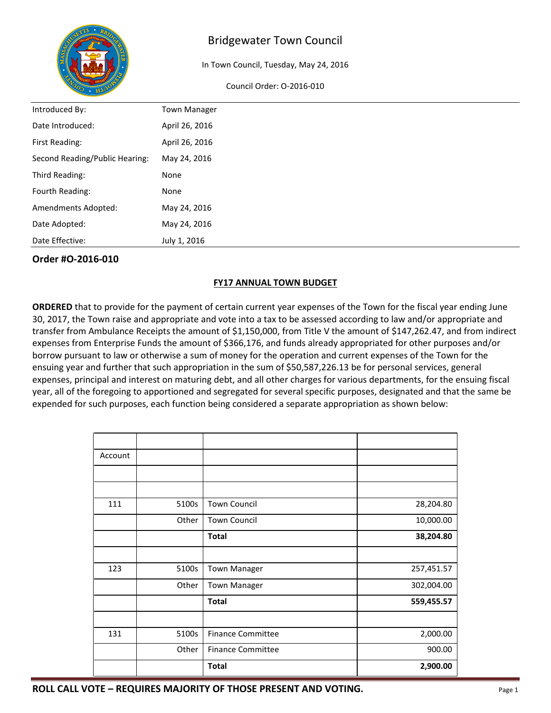

In Town Council, Tuesday, May 24, 2016

#### Council Order: O-2016-010

| Introduced By:                 | <b>Town Manager</b> |
|--------------------------------|---------------------|
| Date Introduced:               | April 26, 2016      |
| First Reading:                 | April 26, 2016      |
| Second Reading/Public Hearing: | May 24, 2016        |
| Third Reading:                 | None                |
| Fourth Reading:                | None                |
| Amendments Adopted:            | May 24, 2016        |
| Date Adopted:                  | May 24, 2016        |
| Date Effective:                | July 1, 2016        |

## **Order #O-2016-010**

## **FY17 ANNUAL TOWN BUDGET**

**ORDERED** that to provide for the payment of certain current year expenses of the Town for the fiscal year ending June 30, 2017, the Town raise and appropriate and vote into a tax to be assessed according to law and/or appropriate and transfer from Ambulance Receipts the amount of \$1,150,000, from Title V the amount of \$147,262.47, and from indirect expenses from Enterprise Funds the amount of \$366,176, and funds already appropriated for other purposes and/or borrow pursuant to law or otherwise a sum of money for the operation and current expenses of the Town for the ensuing year and further that such appropriation in the sum of \$50,587,226.13 be for personal services, general expenses, principal and interest on maturing debt, and all other charges for various departments, for the ensuing fiscal year, all of the foregoing to apportioned and segregated for several specific purposes, designated and that the same be expended for such purposes, each function being considered a separate appropriation as shown below:

| Account |       |                          |            |
|---------|-------|--------------------------|------------|
|         |       |                          |            |
|         |       |                          |            |
| 111     | 5100s | <b>Town Council</b>      | 28,204.80  |
|         | Other | <b>Town Council</b>      | 10,000.00  |
|         |       | <b>Total</b>             | 38,204.80  |
|         |       |                          |            |
| 123     | 5100s | <b>Town Manager</b>      | 257,451.57 |
|         | Other | <b>Town Manager</b>      | 302,004.00 |
|         |       | <b>Total</b>             | 559,455.57 |
|         |       |                          |            |
| 131     | 5100s | <b>Finance Committee</b> | 2,000.00   |
|         | Other | <b>Finance Committee</b> | 900.00     |
|         |       | <b>Total</b>             | 2,900.00   |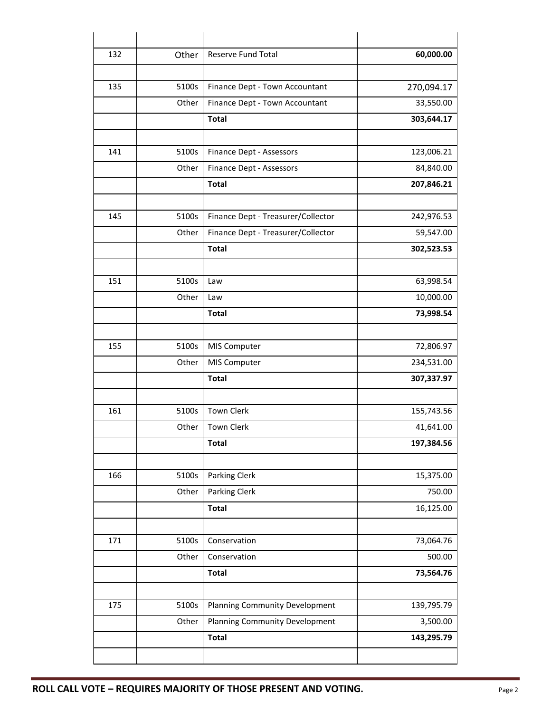| 132 | Other | Reserve Fund Total                    | 60,000.00  |
|-----|-------|---------------------------------------|------------|
|     |       |                                       |            |
| 135 | 5100s | Finance Dept - Town Accountant        | 270,094.17 |
|     | Other | Finance Dept - Town Accountant        | 33,550.00  |
|     |       | <b>Total</b>                          | 303,644.17 |
|     |       |                                       |            |
| 141 | 5100s | Finance Dept - Assessors              | 123,006.21 |
|     | Other | Finance Dept - Assessors              | 84,840.00  |
|     |       | <b>Total</b>                          | 207,846.21 |
|     |       |                                       |            |
| 145 | 5100s | Finance Dept - Treasurer/Collector    | 242,976.53 |
|     | Other | Finance Dept - Treasurer/Collector    | 59,547.00  |
|     |       | <b>Total</b>                          | 302,523.53 |
|     |       |                                       |            |
| 151 | 5100s | Law                                   | 63,998.54  |
|     | Other | Law                                   | 10,000.00  |
|     |       | <b>Total</b>                          | 73,998.54  |
|     |       |                                       |            |
| 155 | 5100s | MIS Computer                          | 72,806.97  |
|     | Other | MIS Computer                          | 234,531.00 |
|     |       | <b>Total</b>                          | 307,337.97 |
|     |       |                                       |            |
| 161 | 5100s | <b>Town Clerk</b>                     | 155,743.56 |
|     | Other | <b>Town Clerk</b>                     | 41,641.00  |
|     |       | <b>Total</b>                          | 197,384.56 |
|     |       |                                       |            |
| 166 | 5100s | Parking Clerk                         | 15,375.00  |
|     | Other | Parking Clerk                         | 750.00     |
|     |       | <b>Total</b>                          | 16,125.00  |
|     |       |                                       |            |
| 171 | 5100s | Conservation                          | 73,064.76  |
|     | Other | Conservation                          | 500.00     |
|     |       | <b>Total</b>                          | 73,564.76  |
|     |       |                                       |            |
| 175 | 5100s | <b>Planning Community Development</b> | 139,795.79 |
|     | Other | Planning Community Development        | 3,500.00   |
|     |       | <b>Total</b>                          | 143,295.79 |
|     |       |                                       |            |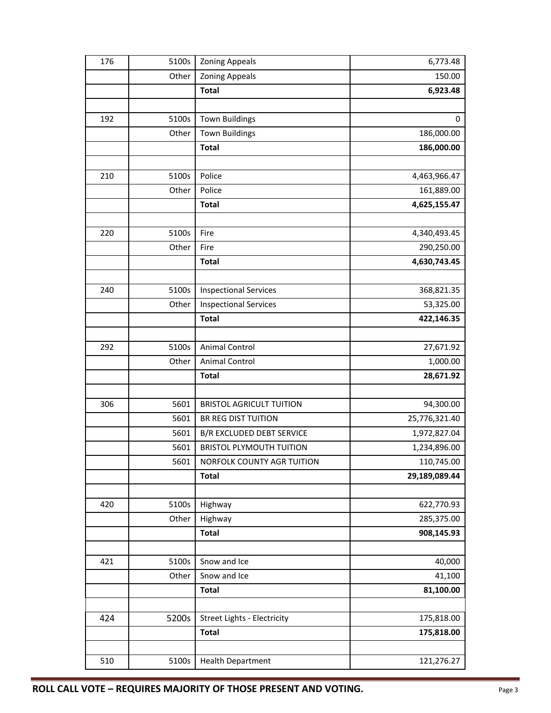| 176 | 5100s | <b>Zoning Appeals</b>              | 6,773.48      |
|-----|-------|------------------------------------|---------------|
|     | Other | <b>Zoning Appeals</b>              | 150.00        |
|     |       | <b>Total</b>                       | 6,923.48      |
|     |       |                                    |               |
| 192 | 5100s | <b>Town Buildings</b>              | 0             |
|     | Other | <b>Town Buildings</b>              | 186,000.00    |
|     |       | <b>Total</b>                       | 186,000.00    |
|     |       |                                    |               |
| 210 | 5100s | Police                             | 4,463,966.47  |
|     | Other | Police                             | 161,889.00    |
|     |       | <b>Total</b>                       | 4,625,155.47  |
|     |       |                                    |               |
| 220 | 5100s | Fire                               | 4,340,493.45  |
|     | Other | Fire                               | 290,250.00    |
|     |       | <b>Total</b>                       | 4,630,743.45  |
|     |       |                                    |               |
| 240 | 5100s | <b>Inspectional Services</b>       | 368,821.35    |
|     | Other | <b>Inspectional Services</b>       | 53,325.00     |
|     |       | <b>Total</b>                       | 422,146.35    |
|     |       |                                    |               |
| 292 | 5100s | <b>Animal Control</b>              | 27,671.92     |
|     | Other | Animal Control                     | 1,000.00      |
|     |       | <b>Total</b>                       | 28,671.92     |
|     |       |                                    |               |
| 306 | 5601  | <b>BRISTOL AGRICULT TUITION</b>    | 94,300.00     |
|     | 5601  | <b>BR REG DIST TUITION</b>         | 25,776,321.40 |
|     | 5601  | <b>B/R EXCLUDED DEBT SERVICE</b>   | 1,972,827.04  |
|     | 5601  | <b>BRISTOL PLYMOUTH TUITION</b>    | 1,234,896.00  |
|     | 5601  | NORFOLK COUNTY AGR TUITION         | 110,745.00    |
|     |       | <b>Total</b>                       | 29,189,089.44 |
|     |       |                                    |               |
| 420 | 5100s | Highway                            | 622,770.93    |
|     | Other | Highway                            | 285,375.00    |
|     |       | <b>Total</b>                       | 908,145.93    |
|     |       |                                    |               |
| 421 | 5100s | Snow and Ice                       | 40,000        |
|     | Other | Snow and Ice                       | 41,100        |
|     |       | <b>Total</b>                       | 81,100.00     |
|     |       |                                    |               |
| 424 | 5200s | <b>Street Lights - Electricity</b> | 175,818.00    |
|     |       | <b>Total</b>                       | 175,818.00    |
|     |       |                                    |               |
| 510 | 5100s | <b>Health Department</b>           | 121,276.27    |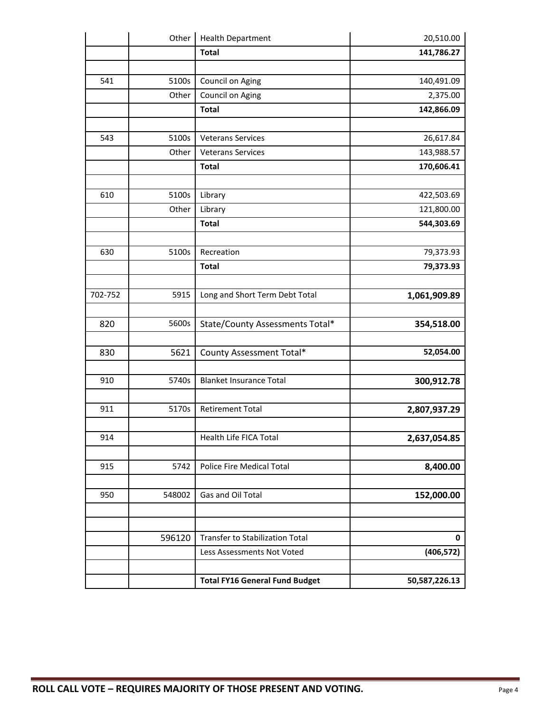|         | Other  | <b>Health Department</b>              | 20,510.00     |
|---------|--------|---------------------------------------|---------------|
|         |        | <b>Total</b>                          | 141,786.27    |
|         |        |                                       |               |
| 541     | 5100s  | Council on Aging                      | 140,491.09    |
|         | Other  | Council on Aging                      | 2,375.00      |
|         |        | <b>Total</b>                          | 142,866.09    |
|         |        |                                       |               |
| 543     | 5100s  | <b>Veterans Services</b>              | 26,617.84     |
|         | Other  | <b>Veterans Services</b>              | 143,988.57    |
|         |        | <b>Total</b>                          | 170,606.41    |
|         |        |                                       |               |
| 610     | 5100s  | Library                               | 422,503.69    |
|         | Other  | Library                               | 121,800.00    |
|         |        | <b>Total</b>                          | 544,303.69    |
|         |        |                                       |               |
| 630     | 5100s  | Recreation                            | 79,373.93     |
|         |        | <b>Total</b>                          | 79,373.93     |
|         |        |                                       |               |
| 702-752 | 5915   | Long and Short Term Debt Total        | 1,061,909.89  |
|         |        |                                       |               |
| 820     | 5600s  | State/County Assessments Total*       | 354,518.00    |
|         |        |                                       |               |
| 830     | 5621   | County Assessment Total*              | 52,054.00     |
|         |        |                                       |               |
| 910     | 5740s  | <b>Blanket Insurance Total</b>        | 300,912.78    |
|         |        |                                       |               |
| 911     | 5170s  | <b>Retirement Total</b>               | 2,807,937.29  |
|         |        |                                       |               |
| 914     |        | Health Life FICA Total                | 2,637,054.85  |
|         |        |                                       |               |
| 915     | 5742   | Police Fire Medical Total             | 8,400.00      |
|         |        |                                       |               |
| 950     | 548002 | Gas and Oil Total                     | 152,000.00    |
|         |        |                                       |               |
|         |        |                                       |               |
|         | 596120 | Transfer to Stabilization Total       | 0             |
|         |        | Less Assessments Not Voted            | (406, 572)    |
|         |        |                                       |               |
|         |        | <b>Total FY16 General Fund Budget</b> | 50,587,226.13 |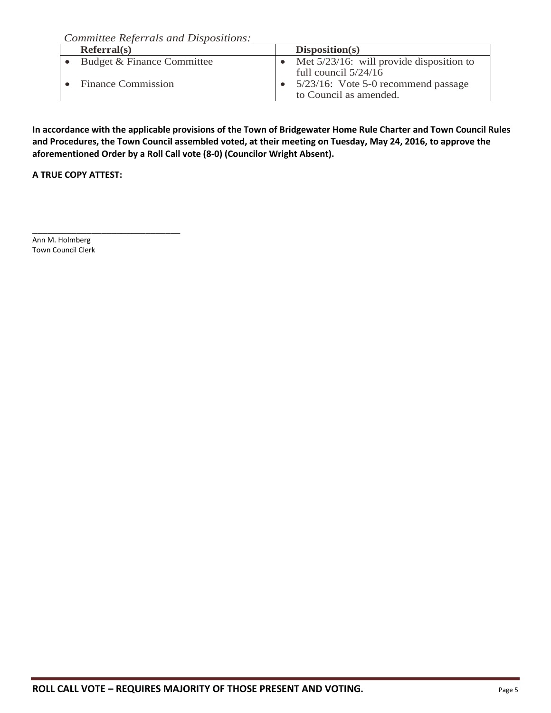*Committee Referrals and Dispositions:*

| Referral(s)                | Disposition(s)                                                                          |
|----------------------------|-----------------------------------------------------------------------------------------|
| Budget & Finance Committee | Met $5/23/16$ : will provide disposition to                                             |
| <b>Finance Commission</b>  | full council $5/24/16$<br>5/23/16: Vote 5-0 recommend passage<br>to Council as amended. |

**In accordance with the applicable provisions of the Town of Bridgewater Home Rule Charter and Town Council Rules and Procedures, the Town Council assembled voted, at their meeting on Tuesday, May 24, 2016, to approve the aforementioned Order by a Roll Call vote (8-0) (Councilor Wright Absent).**

**A TRUE COPY ATTEST:**

\_\_\_\_\_\_\_\_\_\_\_\_\_\_\_\_\_\_\_\_\_\_\_\_\_\_\_\_\_\_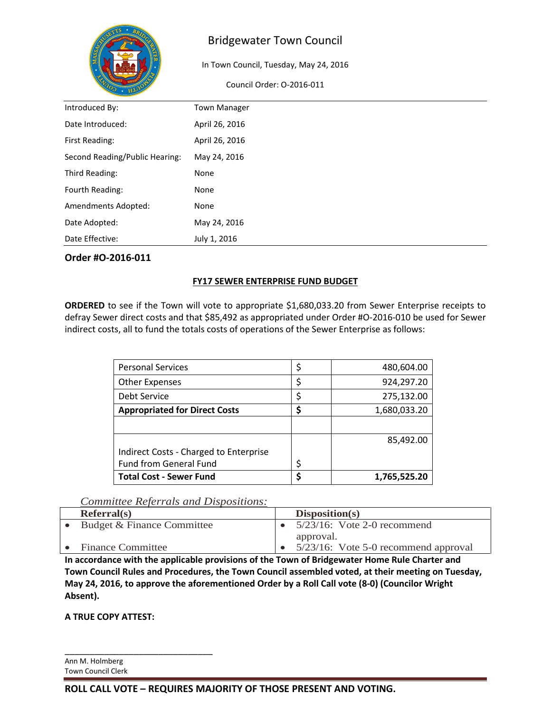

In Town Council, Tuesday, May 24, 2016

Council Order: O-2016-011

| Introduced By:                 | <b>Town Manager</b> |
|--------------------------------|---------------------|
| Date Introduced:               | April 26, 2016      |
| First Reading:                 | April 26, 2016      |
| Second Reading/Public Hearing: | May 24, 2016        |
| Third Reading:                 | None                |
| Fourth Reading:                | None                |
| Amendments Adopted:            | None                |
| Date Adopted:                  | May 24, 2016        |
| Date Effective:                | July 1, 2016        |

## **Order #O-2016-011**

## **FY17 SEWER ENTERPRISE FUND BUDGET**

**ORDERED** to see if the Town will vote to appropriate \$1,680,033.20 from Sewer Enterprise receipts to defray Sewer direct costs and that \$85,492 as appropriated under Order #O-2016-010 be used for Sewer indirect costs, all to fund the totals costs of operations of the Sewer Enterprise as follows:

| <b>Personal Services</b>               | 480,604.00   |
|----------------------------------------|--------------|
| <b>Other Expenses</b>                  | 924,297.20   |
| Debt Service                           | 275,132.00   |
| <b>Appropriated for Direct Costs</b>   | 1,680,033.20 |
|                                        |              |
|                                        | 85,492.00    |
| Indirect Costs - Charged to Enterprise |              |
| <b>Fund from General Fund</b>          |              |
| <b>Total Cost - Sewer Fund</b>         | 1,765,525.20 |

# *Committee Referrals and Dispositions:*

| Referral(s)                | Disposition(s)                       |
|----------------------------|--------------------------------------|
| Budget & Finance Committee | $5/23/16$ : Vote 2-0 recommend       |
|                            | approval.                            |
| <b>Finance Committee</b>   | 5/23/16: Vote 5-0 recommend approval |

**In accordance with the applicable provisions of the Town of Bridgewater Home Rule Charter and Town Council Rules and Procedures, the Town Council assembled voted, at their meeting on Tuesday, May 24, 2016, to approve the aforementioned Order by a Roll Call vote (8-0) (Councilor Wright Absent).**

**A TRUE COPY ATTEST:**

\_\_\_\_\_\_\_\_\_\_\_\_\_\_\_\_\_\_\_\_\_\_\_\_\_\_\_\_\_\_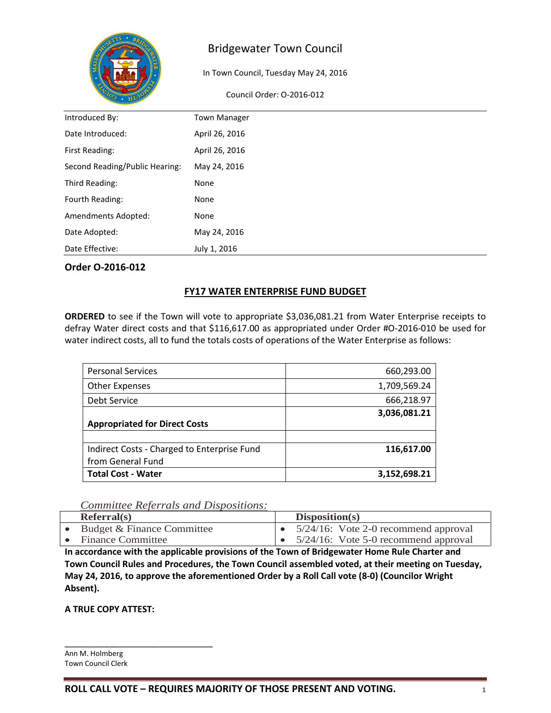

In Town Council, Tuesday May 24, 2016

Council Order: O-2016-012

| Introduced By:                 | <b>Town Manager</b> |
|--------------------------------|---------------------|
| Date Introduced:               | April 26, 2016      |
| First Reading:                 | April 26, 2016      |
| Second Reading/Public Hearing: | May 24, 2016        |
| Third Reading:                 | None                |
| Fourth Reading:                | None                |
| Amendments Adopted:            | None                |
| Date Adopted:                  | May 24, 2016        |
| Date Effective:                | July 1, 2016        |

### **Order O-2016-012**

## **FY17 WATER ENTERPRISE FUND BUDGET**

**ORDERED** to see if the Town will vote to appropriate \$3,036,081.21 from Water Enterprise receipts to defray Water direct costs and that \$116,617.00 as appropriated under Order #O-2016-010 be used for water indirect costs, all to fund the totals costs of operations of the Water Enterprise as follows:

| 660,293.00   |
|--------------|
| 1,709,569.24 |
| 666,218.97   |
| 3,036,081.21 |
|              |
|              |
| 116,617.00   |
|              |
| 3,152,698.21 |
|              |

## *Committee Referrals and Dispositions:*

| Referral(s)                | Disposition(s)                          |
|----------------------------|-----------------------------------------|
| Budget & Finance Committee | 5/24/16: Vote 2-0 recommend approval    |
| Finance Committee          | $5/24/16$ : Vote 5-0 recommend approval |

**In accordance with the applicable provisions of the Town of Bridgewater Home Rule Charter and Town Council Rules and Procedures, the Town Council assembled voted, at their meeting on Tuesday, May 24, 2016, to approve the aforementioned Order by a Roll Call vote (8-0) (Councilor Wright Absent).**

**A TRUE COPY ATTEST:**

\_\_\_\_\_\_\_\_\_\_\_\_\_\_\_\_\_\_\_\_\_\_\_\_\_\_\_\_\_\_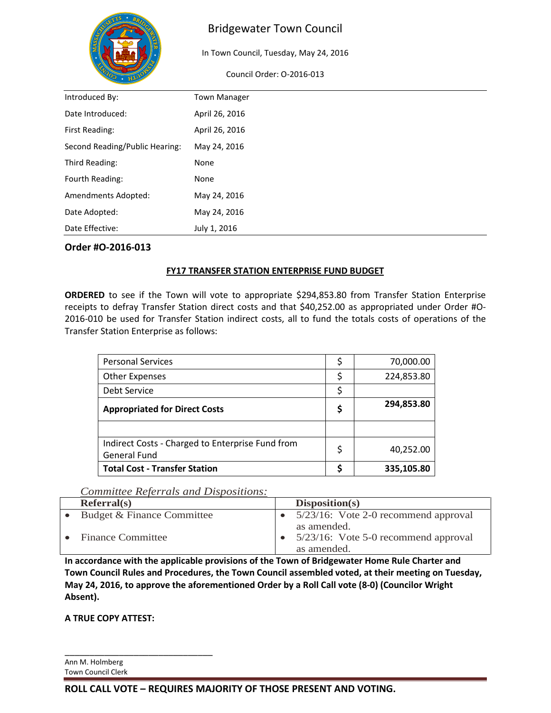

In Town Council, Tuesday, May 24, 2016

Council Order: O-2016-013

| Introduced By:<br><b>Town Manager</b><br>Date Introduced:<br>April 26, 2016<br>April 26, 2016<br>First Reading:<br>Second Reading/Public Hearing:<br>May 24, 2016<br>Third Reading:<br>None<br>Fourth Reading:<br>None<br>Amendments Adopted:<br>May 24, 2016<br>Date Adopted:<br>May 24, 2016<br>Date Effective:<br>July 1, 2016 |  |
|-----------------------------------------------------------------------------------------------------------------------------------------------------------------------------------------------------------------------------------------------------------------------------------------------------------------------------------|--|
|                                                                                                                                                                                                                                                                                                                                   |  |
|                                                                                                                                                                                                                                                                                                                                   |  |
|                                                                                                                                                                                                                                                                                                                                   |  |
|                                                                                                                                                                                                                                                                                                                                   |  |
|                                                                                                                                                                                                                                                                                                                                   |  |
|                                                                                                                                                                                                                                                                                                                                   |  |
|                                                                                                                                                                                                                                                                                                                                   |  |
|                                                                                                                                                                                                                                                                                                                                   |  |
|                                                                                                                                                                                                                                                                                                                                   |  |

### **Order #O-2016-013**

### **FY17 TRANSFER STATION ENTERPRISE FUND BUDGET**

**ORDERED** to see if the Town will vote to appropriate \$294,853.80 from Transfer Station Enterprise receipts to defray Transfer Station direct costs and that \$40,252.00 as appropriated under Order #O-2016-010 be used for Transfer Station indirect costs, all to fund the totals costs of operations of the Transfer Station Enterprise as follows:

| <b>Personal Services</b>                                                | \$ | 70,000.00  |
|-------------------------------------------------------------------------|----|------------|
| <b>Other Expenses</b>                                                   | Ş  | 224,853.80 |
| Debt Service                                                            | \$ |            |
| <b>Appropriated for Direct Costs</b>                                    | \$ | 294,853.80 |
|                                                                         |    |            |
| Indirect Costs - Charged to Enterprise Fund from<br><b>General Fund</b> | \$ | 40,252.00  |
| <b>Total Cost - Transfer Station</b>                                    |    | 335,105.80 |

#### *Committee Referrals and Dispositions:*

| Referral(s)                | Disposition(s)                                                        |
|----------------------------|-----------------------------------------------------------------------|
| Budget & Finance Committee | $5/23/16$ : Vote 2-0 recommend approval                               |
| <b>Finance Committee</b>   | as amended.<br>$5/23/16$ : Vote 5-0 recommend approval<br>as amended. |

**In accordance with the applicable provisions of the Town of Bridgewater Home Rule Charter and Town Council Rules and Procedures, the Town Council assembled voted, at their meeting on Tuesday, May 24, 2016, to approve the aforementioned Order by a Roll Call vote (8-0) (Councilor Wright Absent).**

**A TRUE COPY ATTEST:**

\_\_\_\_\_\_\_\_\_\_\_\_\_\_\_\_\_\_\_\_\_\_\_\_\_\_\_\_\_\_